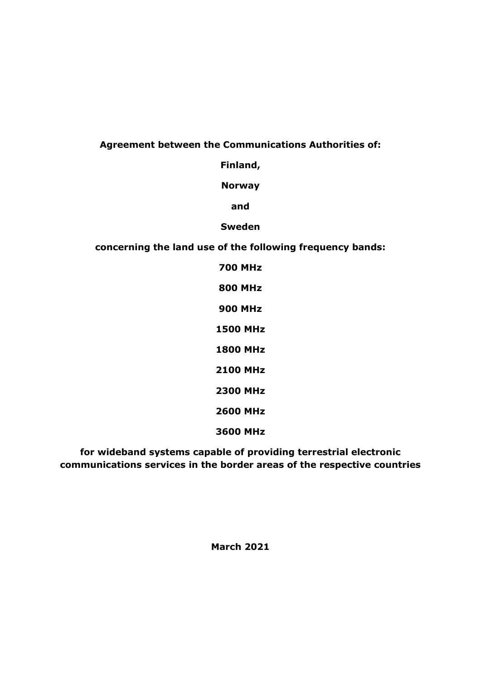### **Agreement between the Communications Authorities of:**

**Finland,**

**Norway**

**and**

**Sweden**

**concerning the land use of the following frequency bands:**

**700 MHz 800 MHz 900 MHz 1500 MHz 1800 MHz 2100 MHz 2300 MHz 2600 MHz 3600 MHz**

**for wideband systems capable of providing terrestrial electronic communications services in the border areas of the respective countries**

**March 2021**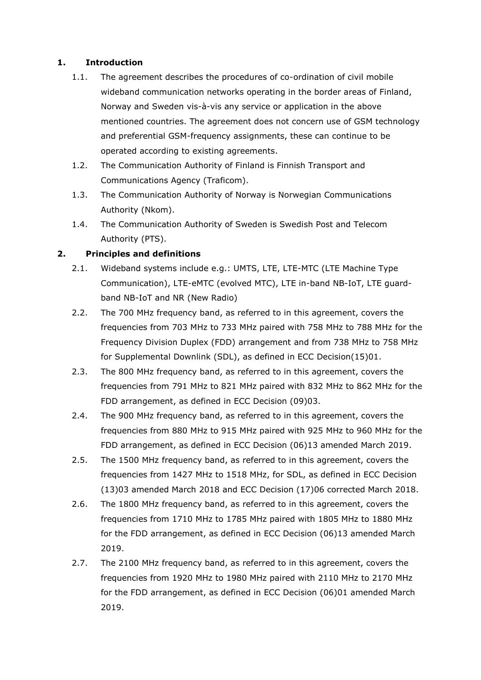### **1. Introduction**

- 1.1. The agreement describes the procedures of co-ordination of civil mobile wideband communication networks operating in the border areas of Finland, Norway and Sweden vis-à-vis any service or application in the above mentioned countries. The agreement does not concern use of GSM technology and preferential GSM-frequency assignments, these can continue to be operated according to existing agreements.
- 1.2. The Communication Authority of Finland is Finnish Transport and Communications Agency (Traficom).
- 1.3. The Communication Authority of Norway is Norwegian Communications Authority (Nkom).
- 1.4. The Communication Authority of Sweden is Swedish Post and Telecom Authority (PTS).

### **2. Principles and definitions**

- 2.1. Wideband systems include e.g.: UMTS, LTE, LTE-MTC (LTE Machine Type Communication), LTE-eMTC (evolved MTC), LTE in-band NB-IoT, LTE guardband NB-IoT and NR (New Radio)
- 2.2. The 700 MHz frequency band, as referred to in this agreement, covers the frequencies from 703 MHz to 733 MHz paired with 758 MHz to 788 MHz for the Frequency Division Duplex (FDD) arrangement and from 738 MHz to 758 MHz for Supplemental Downlink (SDL), as defined in ECC Decision(15)01.
- 2.3. The 800 MHz frequency band, as referred to in this agreement, covers the frequencies from 791 MHz to 821 MHz paired with 832 MHz to 862 MHz for the FDD arrangement, as defined in ECC Decision (09)03.
- 2.4. The 900 MHz frequency band, as referred to in this agreement, covers the frequencies from 880 MHz to 915 MHz paired with 925 MHz to 960 MHz for the FDD arrangement, as defined in ECC Decision (06)13 amended March 2019.
- 2.5. The 1500 MHz frequency band, as referred to in this agreement, covers the frequencies from 1427 MHz to 1518 MHz, for SDL, as defined in ECC Decision (13)03 amended March 2018 and ECC Decision (17)06 corrected March 2018.
- 2.6. The 1800 MHz frequency band, as referred to in this agreement, covers the frequencies from 1710 MHz to 1785 MHz paired with 1805 MHz to 1880 MHz for the FDD arrangement, as defined in ECC Decision (06)13 amended March 2019.
- 2.7. The 2100 MHz frequency band, as referred to in this agreement, covers the frequencies from 1920 MHz to 1980 MHz paired with 2110 MHz to 2170 MHz for the FDD arrangement, as defined in ECC Decision (06)01 amended March 2019.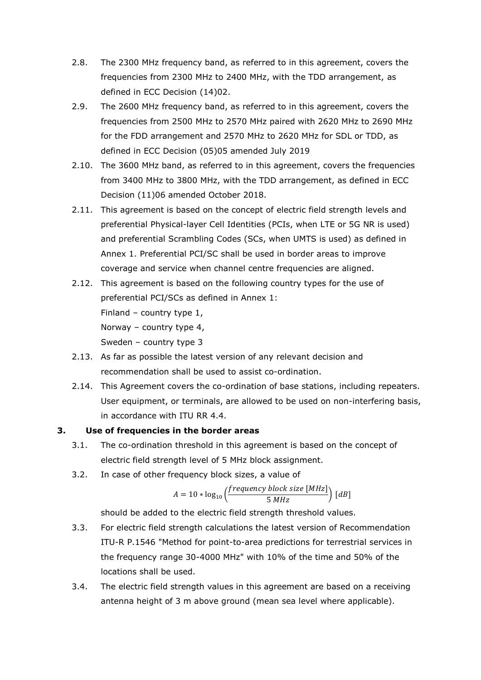- 2.8. The 2300 MHz frequency band, as referred to in this agreement, covers the frequencies from 2300 MHz to 2400 MHz, with the TDD arrangement, as defined in ECC Decision (14)02.
- 2.9. The 2600 MHz frequency band, as referred to in this agreement, covers the frequencies from 2500 MHz to 2570 MHz paired with 2620 MHz to 2690 MHz for the FDD arrangement and 2570 MHz to 2620 MHz for SDL or TDD, as defined in ECC Decision (05)05 amended July 2019
- 2.10. The 3600 MHz band, as referred to in this agreement, covers the frequencies from 3400 MHz to 3800 MHz, with the TDD arrangement, as defined in ECC Decision (11)06 amended October 2018.
- 2.11. This agreement is based on the concept of electric field strength levels and preferential Physical-layer Cell Identities (PCIs, when LTE or 5G NR is used) and preferential Scrambling Codes (SCs, when UMTS is used) as defined in Annex 1. Preferential PCI/SC shall be used in border areas to improve coverage and service when channel centre frequencies are aligned.
- 2.12. This agreement is based on the following country types for the use of preferential PCI/SCs as defined in Annex 1: Finland – country type 1, Norway – country type 4, Sweden – country type 3
- 2.13. As far as possible the latest version of any relevant decision and recommendation shall be used to assist co-ordination.
- 2.14. This Agreement covers the co-ordination of base stations, including repeaters. User equipment, or terminals, are allowed to be used on non-interfering basis, in accordance with ITU RR 4.4.

### **3. Use of frequencies in the border areas**

- 3.1. The co-ordination threshold in this agreement is based on the concept of electric field strength level of 5 MHz block assignment.
- 3.2. In case of other frequency block sizes, a value of

$$
A = 10 * log_{10} \left( \frac{frequency \ block \ size \ [MHz]}{5 \ MHz} \right) \ [dB]
$$

should be added to the electric field strength threshold values.

- 3.3. For electric field strength calculations the latest version of Recommendation ITU-R P.1546 "Method for point-to-area predictions for terrestrial services in the frequency range 30-4000 MHz" with 10% of the time and 50% of the locations shall be used.
- 3.4. The electric field strength values in this agreement are based on a receiving antenna height of 3 m above ground (mean sea level where applicable).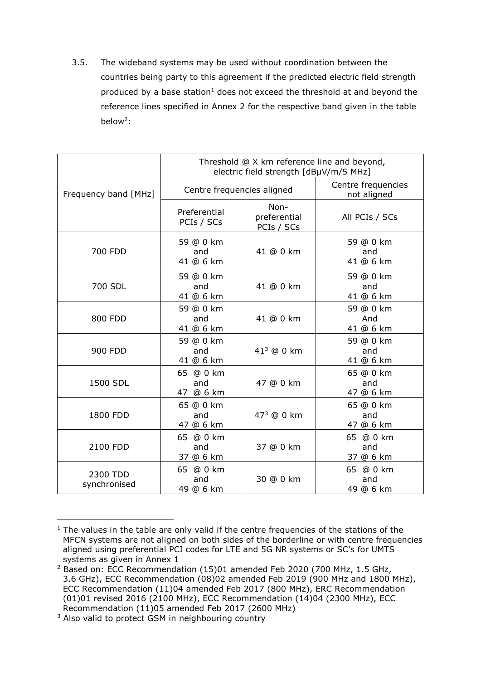3.5. The wideband systems may be used without coordination between the countries being party to this agreement if the predicted electric field strength produced by a base station<sup>1</sup> does not exceed the threshold at and beyond the reference lines specified in Annex 2 for the respective band given in the table below<sup>2</sup>:

|                          | Threshold @ X km reference line and beyond,<br>electric field strength [dBµV/m/5 MHz] |                                                                                                                                                                                                                                                                                                                                                                                                               |                        |  |  |  |  |  |  |
|--------------------------|---------------------------------------------------------------------------------------|---------------------------------------------------------------------------------------------------------------------------------------------------------------------------------------------------------------------------------------------------------------------------------------------------------------------------------------------------------------------------------------------------------------|------------------------|--|--|--|--|--|--|
| Frequency band [MHz]     |                                                                                       | Centre frequencies<br>not aligned                                                                                                                                                                                                                                                                                                                                                                             |                        |  |  |  |  |  |  |
|                          | Preferential<br>PCIs / SCs                                                            | Centre frequencies aligned<br>Non-<br>preferential<br>PCIs / SCs<br>59 @ 0 km<br>41 @ 0 km<br>and<br>41 @ 6 km<br>59 @ 0 km<br>41 @ 0 km<br>and<br>41 @ 6 km<br>59 @ 0 km<br>41 @ 0 km<br>And<br>41 @ 6 km<br>59 @ 0 km<br>$413$ @ 0 km<br>and<br>41 @ 6 km<br>65 @ 0 km<br>47 @ 0 km<br>and<br>47 @ 6 km<br>65 @ 0 km<br>473 @ 0 km<br>and<br>47 @ 6 km<br>37 @ 0 km<br>and<br>37 @ 6 km<br>30 @ 0 km<br>and | All PCIs / SCs         |  |  |  |  |  |  |
| 700 FDD                  | 59 @ 0 km<br>and<br>41 @ 6 km                                                         |                                                                                                                                                                                                                                                                                                                                                                                                               |                        |  |  |  |  |  |  |
| 700 SDL                  | 59 @ 0 km<br>and<br>41 @ 6 km                                                         |                                                                                                                                                                                                                                                                                                                                                                                                               |                        |  |  |  |  |  |  |
| 800 FDD                  | 59 @ 0 km<br>and<br>41 @ 6 km                                                         |                                                                                                                                                                                                                                                                                                                                                                                                               |                        |  |  |  |  |  |  |
| 900 FDD                  | 59 @ 0 km<br>and<br>41 @ 6 km                                                         |                                                                                                                                                                                                                                                                                                                                                                                                               |                        |  |  |  |  |  |  |
| 1500 SDL                 | 65 @ 0 km<br>and<br>47 @ 6 km                                                         |                                                                                                                                                                                                                                                                                                                                                                                                               |                        |  |  |  |  |  |  |
| 1800 FDD                 | 65 @ 0 km<br>and<br>47 @ 6 km                                                         |                                                                                                                                                                                                                                                                                                                                                                                                               |                        |  |  |  |  |  |  |
| 2100 FDD                 | 65 @ 0 km<br>and<br>37 @ 6 km                                                         |                                                                                                                                                                                                                                                                                                                                                                                                               | 65 @ 0 km              |  |  |  |  |  |  |
| 2300 TDD<br>synchronised | 65 @ 0 km<br>and<br>49 @ 6 km                                                         |                                                                                                                                                                                                                                                                                                                                                                                                               | 65 @ 0 km<br>49 @ 6 km |  |  |  |  |  |  |

<sup>-</sup> $1$  The values in the table are only valid if the centre frequencies of the stations of the MFCN systems are not aligned on both sides of the borderline or with centre frequencies aligned using preferential PCI codes for LTE and 5G NR systems or SC's for UMTS systems as given in Annex 1

<sup>&</sup>lt;sup>2</sup> Based on: ECC Recommendation (15)01 amended Feb 2020 (700 MHz, 1.5 GHz, 3.6 GHz), ECC Recommendation (08)02 amended Feb 2019 (900 MHz and 1800 MHz), ECC Recommendation (11)04 amended Feb 2017 (800 MHz), ERC Recommendation (01)01 revised 2016 (2100 MHz), ECC Recommendation (14)04 (2300 MHz), ECC Recommendation (11)05 amended Feb 2017 (2600 MHz)

<sup>&</sup>lt;sup>3</sup> Also valid to protect GSM in neighbouring country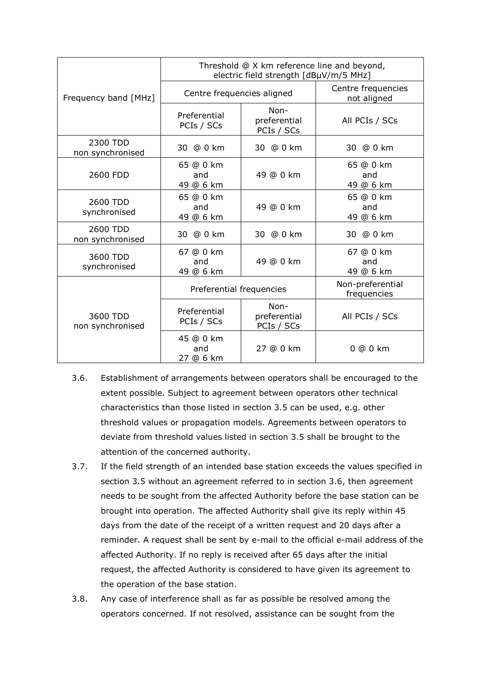|                              |                               | Threshold @ X km reference line and beyond,<br>electric field strength [dBµV/m/5 MHz] |                                   |
|------------------------------|-------------------------------|---------------------------------------------------------------------------------------|-----------------------------------|
| Frequency band [MHz]         | Centre frequencies aligned    |                                                                                       | Centre frequencies<br>not aligned |
|                              | Preferential<br>PCIs / SCs    | Non-<br>preferential<br>PCIs / SCs                                                    | All PCIs / SCs                    |
| 2300 TDD<br>non synchronised | 30 @ 0 km                     | 30 @ 0 km                                                                             | 30 @ 0 km                         |
| 2600 FDD                     | 65 @ 0 km<br>and<br>49 @ 6 km | 49 @ 0 km                                                                             | 65 @ 0 km<br>and<br>49 @ 6 km     |
| 2600 TDD<br>synchronised     | 65 @ 0 km<br>and<br>49 @ 6 km | 49 @ 0 km                                                                             | 65 @ 0 km<br>and<br>49 @ 6 km     |
| 2600 TDD<br>non synchronised | 30 @ 0 km                     | 30 @ 0 km                                                                             | 30 @ 0 km                         |
| 3600 TDD<br>synchronised     | 67 @ 0 km<br>and<br>49 @ 6 km | 49 @ 0 km                                                                             | 67 @ 0 km<br>and<br>49 @ 6 km     |
|                              | Preferential frequencies      |                                                                                       | Non-preferential<br>frequencies   |
| 3600 TDD<br>non synchronised | Preferential<br>PCIs / SCs    | Non-<br>preferential<br>PCIs / SCs                                                    | All PCIs / SCs                    |
|                              | 45 @ 0 km<br>and<br>27 @ 6 km | 27 @ 0 km                                                                             | 0 @ 0 km                          |

- 3.6. Establishment of arrangements between operators shall be encouraged to the extent possible. Subject to agreement between operators other technical characteristics than those listed in section 3.5 can be used, e.g. other threshold values or propagation models. Agreements between operators to deviate from threshold values listed in section 3.5 shall be brought to the attention of the concerned authority.
- 3.7. If the field strength of an intended base station exceeds the values specified in section 3.5 without an agreement referred to in section 3.6, then agreement needs to be sought from the affected Authority before the base station can be brought into operation. The affected Authority shall give its reply within 45 days from the date of the receipt of a written request and 20 days after a reminder. A request shall be sent by e-mail to the official e-mail address of the affected Authority. If no reply is received after 65 days after the initial request, the affected Authority is considered to have given its agreement to the operation of the base station.
- 3.8. Any case of interference shall as far as possible be resolved among the operators concerned. If not resolved, assistance can be sought from the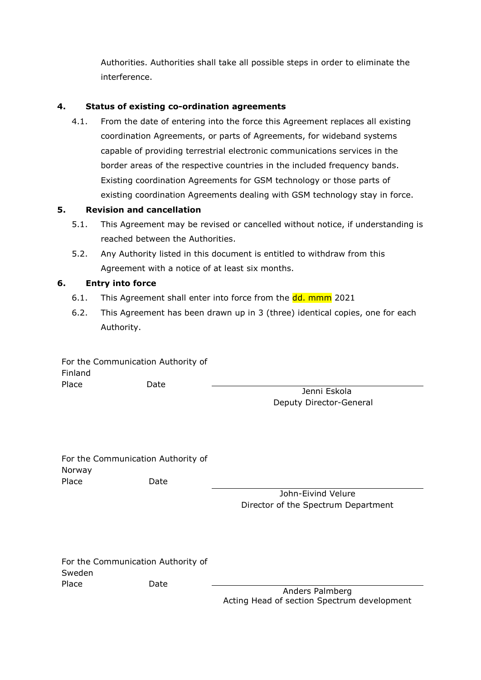Authorities. Authorities shall take all possible steps in order to eliminate the interference.

### **4. Status of existing co-ordination agreements**

4.1. From the date of entering into the force this Agreement replaces all existing coordination Agreements, or parts of Agreements, for wideband systems capable of providing terrestrial electronic communications services in the border areas of the respective countries in the included frequency bands. Existing coordination Agreements for GSM technology or those parts of existing coordination Agreements dealing with GSM technology stay in force.

### **5. Revision and cancellation**

- 5.1. This Agreement may be revised or cancelled without notice, if understanding is reached between the Authorities.
- 5.2. Any Authority listed in this document is entitled to withdraw from this Agreement with a notice of at least six months.

### **6. Entry into force**

- 6.1. This Agreement shall enter into force from the dd. mmm 2021
- 6.2. This Agreement has been drawn up in 3 (three) identical copies, one for each Authority.

For the Communication Authority of Finland Place Date

Jenni Eskola Deputy Director-General

For the Communication Authority of Norway Place Date

John-Eivind Velure Director of the Spectrum Department

For the Communication Authority of Sweden Place Date

Anders Palmberg Acting Head of section Spectrum development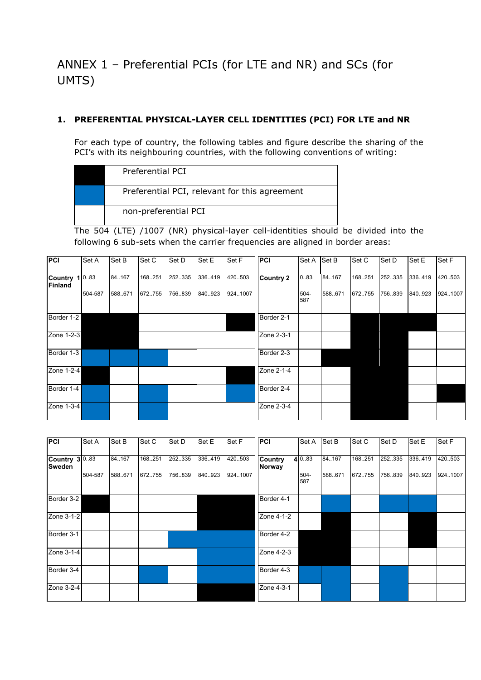# ANNEX 1 – Preferential PCIs (for LTE and NR) and SCs (for UMTS)

#### **1. PREFERENTIAL PHYSICAL-LAYER CELL IDENTITIES (PCI) FOR LTE and NR**

For each type of country, the following tables and figure describe the sharing of the PCI's with its neighbouring countries, with the following conventions of writing:

| Preferential PCI                              |
|-----------------------------------------------|
| Preferential PCI, relevant for this agreement |
| non-preferential PCI                          |

The 504 (LTE) /1007 (NR) physical-layer cell-identities should be divided into the following 6 sub-sets when the carrier frequencies are aligned in border areas:

| PCI                         | Set A   | Set B  | Set C  | Set D   | Set E   | Set F   | <b>PCI</b>       | Set A       | Set B   | Set C   | Set D   | Set E   | Set F   |
|-----------------------------|---------|--------|--------|---------|---------|---------|------------------|-------------|---------|---------|---------|---------|---------|
| Country $1 0.83$<br>Finland |         | 84.167 | 168251 | 252.335 | 336.419 | 420.503 | <b>Country 2</b> | 083         | 84.167  | 168.251 | 252.335 | 336.419 | 420.503 |
|                             | 504-587 | 588671 | 672755 | 756.839 | 840.923 | 9241007 |                  | 504-<br>587 | 588.671 | 672.755 | 756.839 | 840.923 | 9241007 |
| Border 1-2                  |         |        |        |         |         |         | Border 2-1       |             |         |         |         |         |         |
| Zone 1-2-3                  |         |        |        |         |         |         | Zone 2-3-1       |             |         |         |         |         |         |
| Border 1-3                  |         |        |        |         |         |         | Border 2-3       |             |         |         |         |         |         |
| Zone 1-2-4                  |         |        |        |         |         |         | Zone 2-1-4       |             |         |         |         |         |         |
| Border 1-4                  |         |        |        |         |         |         | Border 2-4       |             |         |         |         |         |         |
| Zone 1-3-4                  |         |        |        |         |         |         | Zone 2-3-4       |             |         |         |         |         |         |

| <b>PCI</b>                      | Set A   | Set B             | Set C             | Set D              | Set E              | Set F               | <b>PCI</b>               | Set A                 | Set B             | Set C              | Set D              | Set E              | Set F              |
|---------------------------------|---------|-------------------|-------------------|--------------------|--------------------|---------------------|--------------------------|-----------------------|-------------------|--------------------|--------------------|--------------------|--------------------|
| Country 3 0.83<br><b>Sweden</b> | 504-587 | 84.167<br>588.671 | 168.251<br>672755 | 252.335<br>756.839 | 336.419<br>840.923 | 420.503<br>924.1007 | <b>Country</b><br>Norway | 4 0.83<br>504-<br>587 | 84.167<br>588.671 | 168.251<br>672.755 | 252.335<br>756.839 | 336.419<br>840.923 | 420.503<br>9241007 |
| Border 3-2                      |         |                   |                   |                    |                    |                     | Border 4-1               |                       |                   |                    |                    |                    |                    |
| Zone 3-1-2                      |         |                   |                   |                    |                    |                     | Zone 4-1-2               |                       |                   |                    |                    |                    |                    |
| Border 3-1                      |         |                   |                   |                    |                    |                     | Border 4-2               |                       |                   |                    |                    |                    |                    |
| Zone 3-1-4                      |         |                   |                   |                    |                    |                     | Zone 4-2-3               |                       |                   |                    |                    |                    |                    |
| Border 3-4                      |         |                   |                   |                    |                    |                     | Border 4-3               |                       |                   |                    |                    |                    |                    |
| Zone 3-2-4                      |         |                   |                   |                    |                    |                     | Zone 4-3-1               |                       |                   |                    |                    |                    |                    |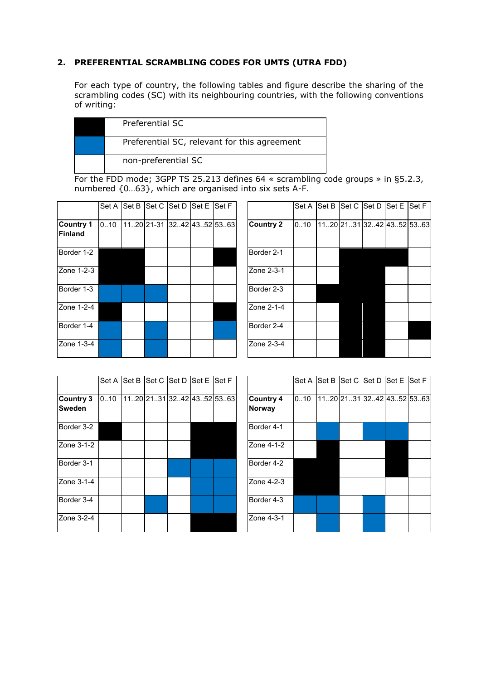### **2. PREFERENTIAL SCRAMBLING CODES FOR UMTS (UTRA FDD)**

For each type of country, the following tables and figure describe the sharing of the scrambling codes (SC) with its neighbouring countries, with the following conventions of writing:

| Preferential SC                              |
|----------------------------------------------|
| Preferential SC, relevant for this agreement |
| non-preferential SC                          |

For the FDD mode; 3GPP TS 25.213 defines 64 « scrambling code groups » in §5.2.3, numbered {0…63}, which are organised into six sets A-F.

|                                    |      |  | Set A Set B Set C Set D Set E Set F |  |                  |
|------------------------------------|------|--|-------------------------------------|--|------------------|
| <b>Country 1</b><br><b>Finland</b> | 0.10 |  | 1120 21-31 3242 4352 5363           |  | <b>Country 2</b> |
| Border 1-2                         |      |  |                                     |  | Border 2-1       |
| Zone 1-2-3                         |      |  |                                     |  | Zone 2-3-1       |
| Border 1-3                         |      |  |                                     |  | Border 2-3       |
| Zone 1-2-4                         |      |  |                                     |  | Zone 2-1-4       |
| Border 1-4                         |      |  |                                     |  | Border 2-4       |
| Zone 1-3-4                         |      |  |                                     |  | Zone 2-3-4       |

| Set A |  | Set B  Set C  Set D  Set E | Set F                     |                  | Set A | Set B | Set C Set D Set E |                          | Set F |
|-------|--|----------------------------|---------------------------|------------------|-------|-------|-------------------|--------------------------|-------|
| 010   |  |                            | 1120 21-31 3242 4352 5363 | <b>Country 2</b> | 010   |       |                   | 1120 2131 3242 4352 5363 |       |
|       |  |                            |                           | Border 2-1       |       |       |                   |                          |       |
|       |  |                            |                           | Zone 2-3-1       |       |       |                   |                          |       |
|       |  |                            |                           | Border 2-3       |       |       |                   |                          |       |
|       |  |                            |                           | Zone 2-1-4       |       |       |                   |                          |       |
|       |  |                            |                           | Border 2-4       |       |       |                   |                          |       |
|       |  |                            |                           | Zone 2-3-4       |       |       |                   |                          |       |

|                            | Set A | Set B Set C Set D Set E Set F |                          |  |                                   | Set A | Set B | Set C | $\left  \mathsf{Set}\, \mathsf{D} \right $ Set E $\left  \mathsf{Set}\, \mathsf{F} \right $ |                          |
|----------------------------|-------|-------------------------------|--------------------------|--|-----------------------------------|-------|-------|-------|---------------------------------------------------------------------------------------------|--------------------------|
| Country 3<br><b>Sweden</b> | 0.10  |                               | 1120 2131 3242 4352 5363 |  | <b>Country 4</b><br><b>Norway</b> | 0.10  |       |       |                                                                                             | 1120 2131 3242 4352 5363 |
| Border 3-2                 |       |                               |                          |  | Border 4-1                        |       |       |       |                                                                                             |                          |
| Zone 3-1-2                 |       |                               |                          |  | Zone 4-1-2                        |       |       |       |                                                                                             |                          |
| Border 3-1                 |       |                               |                          |  | Border 4-2                        |       |       |       |                                                                                             |                          |
| Zone 3-1-4                 |       |                               |                          |  | Zone 4-2-3                        |       |       |       |                                                                                             |                          |
| Border 3-4                 |       |                               |                          |  | Border 4-3                        |       |       |       |                                                                                             |                          |
| Zone 3-2-4                 |       |                               |                          |  | Zone 4-3-1                        |       |       |       |                                                                                             |                          |